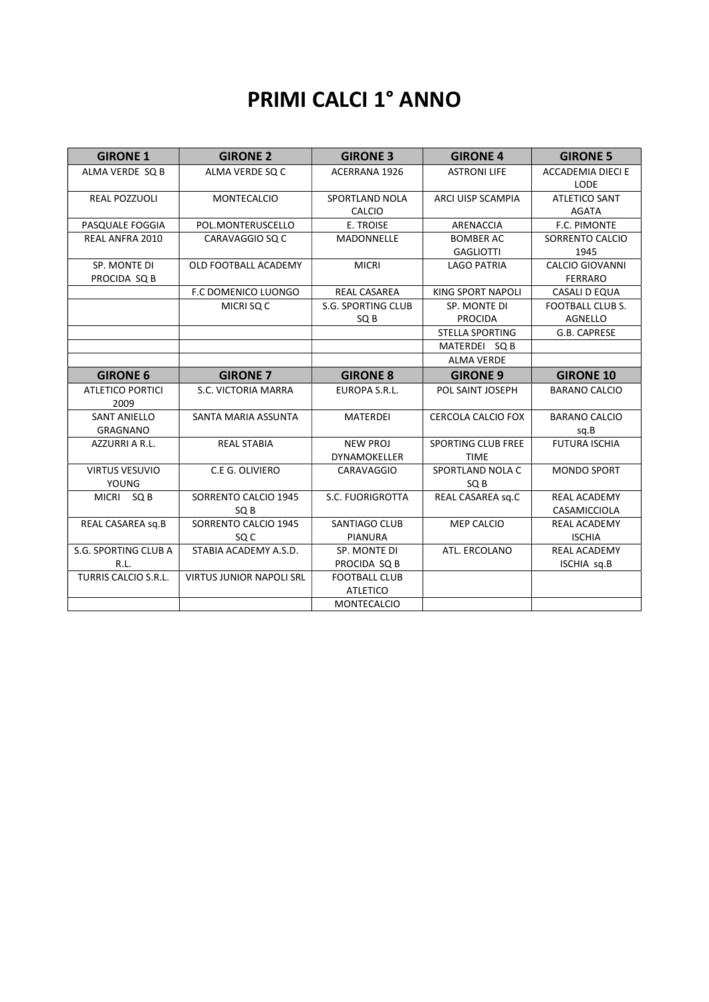# PRIMI CALCI 1° ANNO

| <b>GIRONE 1</b>                        | <b>GIRONE 2</b>                 | <b>GIRONE 3</b>                         | <b>GIRONE 4</b>                          | <b>GIRONE 5</b>                           |
|----------------------------------------|---------------------------------|-----------------------------------------|------------------------------------------|-------------------------------------------|
| ALMA VERDE SQ B                        | ALMA VERDE SQ C                 | <b>ACERRANA 1926</b>                    | <b>ASTRONI LIFE</b>                      | <b>ACCADEMIA DIECI E</b><br>LODE          |
| <b>REAL POZZUOLI</b>                   | <b>MONTECALCIO</b>              | SPORTLAND NOLA<br><b>CALCIO</b>         | ARCI UISP SCAMPIA                        | <b>ATLETICO SANT</b><br><b>AGATA</b>      |
| PASQUALE FOGGIA                        | POL.MONTERUSCELLO               | E. TROISE                               | ARENACCIA                                | F.C. PIMONTE                              |
| REAL ANFRA 2010                        | CARAVAGGIO SO C                 | <b>MADONNELLE</b>                       | <b>BOMBER AC</b><br><b>GAGLIOTTI</b>     | SORRENTO CALCIO<br>1945                   |
| SP. MONTE DI<br>PROCIDA SQ B           | OLD FOOTBALL ACADEMY            | <b>MICRI</b>                            | <b>LAGO PATRIA</b>                       | <b>CALCIO GIOVANNI</b><br><b>FERRARO</b>  |
|                                        | <b>F.C DOMENICO LUONGO</b>      | <b>REAL CASAREA</b>                     | <b>KING SPORT NAPOLI</b>                 | CASALI D EQUA                             |
|                                        | MICRI SQ C                      | <b>S.G. SPORTING CLUB</b><br>SQ B       | SP. MONTE DI<br><b>PROCIDA</b>           | <b>FOOTBALL CLUB S.</b><br><b>AGNELLO</b> |
|                                        |                                 |                                         | <b>STELLA SPORTING</b>                   | G.B. CAPRESE                              |
|                                        |                                 |                                         | MATERDEI SQ B                            |                                           |
|                                        |                                 |                                         | <b>ALMA VERDE</b>                        |                                           |
| <b>GIRONE 6</b>                        | <b>GIRONE 7</b>                 | <b>GIRONE 8</b>                         | <b>GIRONE 9</b>                          | <b>GIRONE 10</b>                          |
| <b>ATLETICO PORTICI</b><br>2009        | S.C. VICTORIA MARRA             | EUROPA S.R.L.                           | POL SAINT JOSEPH                         | <b>BARANO CALCIO</b>                      |
| <b>SANT ANIELLO</b><br><b>GRAGNANO</b> | SANTA MARIA ASSUNTA             | <b>MATERDEI</b>                         | <b>CERCOLA CALCIO FOX</b>                | <b>BARANO CALCIO</b><br>sq.B              |
| AZZURRI A R.L.                         | <b>REAL STABIA</b>              | <b>NEW PROJ</b><br>DYNAMOKELLER         | <b>SPORTING CLUB FREE</b><br><b>TIME</b> | <b>FUTURA ISCHIA</b>                      |
| <b>VIRTUS VESUVIO</b><br><b>YOUNG</b>  | C.E G. OLIVIERO                 | CARAVAGGIO                              | SPORTLAND NOLA C<br>SQ B                 | <b>MONDO SPORT</b>                        |
| MICRI SQ B                             | SORRENTO CALCIO 1945<br>SQ B    | S.C. FUORIGROTTA                        | REAL CASAREA sq.C                        | <b>REAL ACADEMY</b><br>CASAMICCIOLA       |
| REAL CASAREA sq.B                      | SORRENTO CALCIO 1945<br>SQ C    | <b>SANTIAGO CLUB</b><br><b>PIANURA</b>  | <b>MEP CALCIO</b>                        | <b>REAL ACADEMY</b><br><b>ISCHIA</b>      |
| S.G. SPORTING CLUB A                   | STABIA ACADEMY A.S.D.           | SP. MONTE DI                            | ATL. ERCOLANO                            | REAL ACADEMY                              |
| R.L.                                   |                                 | PROCIDA SQ B                            |                                          | ISCHIA sq.B                               |
| <b>TURRIS CALCIO S.R.L.</b>            | <b>VIRTUS JUNIOR NAPOLI SRL</b> | <b>FOOTBALL CLUB</b><br><b>ATLETICO</b> |                                          |                                           |
|                                        |                                 | <b>MONTECALCIO</b>                      |                                          |                                           |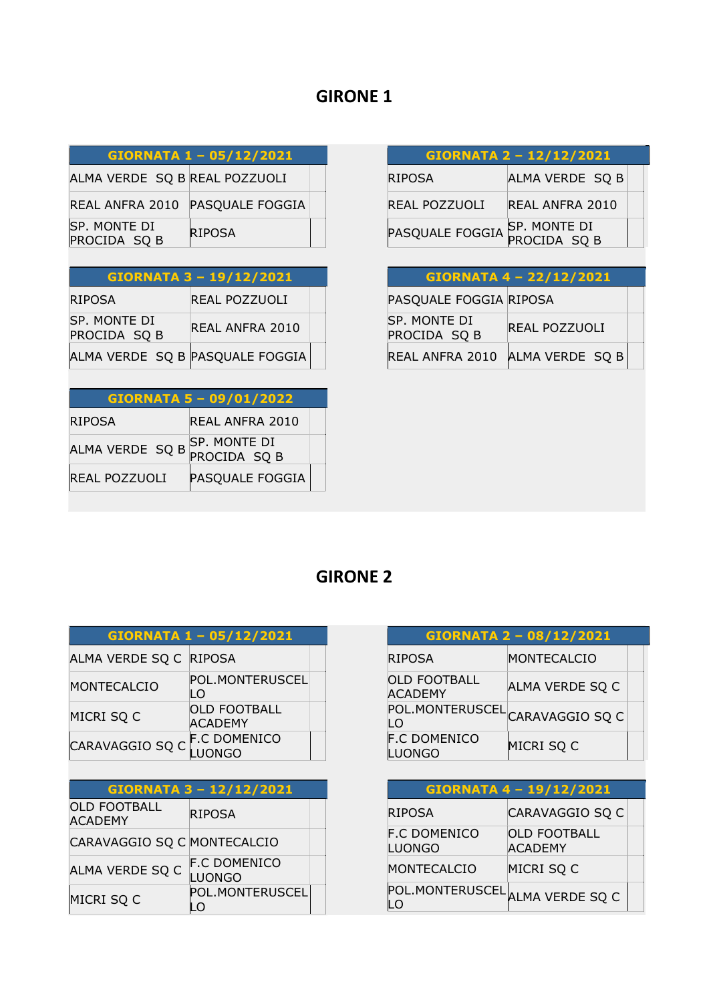| GIORNATA 1 - 05/12/2021 |  |  |
|-------------------------|--|--|
|                         |  |  |

ALMA VERDE SQ B REAL POZZUOLI

|                              | REAL ANFRA 2010 PASQUALE FOGGIA |  |
|------------------------------|---------------------------------|--|
| SP. MONTE DI<br>PROCIDA SQ B | <b>RIPOSA</b>                   |  |

| <b>GIORNATA 3 - 19/12/2021</b> |
|--------------------------------|
|--------------------------------|

| <b>RIPOSA</b>                   | REAL POZZUOLI          |  |
|---------------------------------|------------------------|--|
| SP. MONTE DI<br>PROCIDA SQ B    | <b>REAL ANFRA 2010</b> |  |
| ALMA VERDE SQ B PASQUALE FOGGIA |                        |  |

| GIORNATA 5 - 09/01/2022 |                              |  |  |
|-------------------------|------------------------------|--|--|
| <b>RIPOSA</b>           | REAL ANFRA 2010              |  |  |
| ALMA VERDE SQ B         | SP. MONTE DI<br>PROCIDA SQ B |  |  |
| <b>REAL POZZUOLI</b>    | PASQUALE FOGGIA              |  |  |

| GIORNATA 2 - 12/12/2021      |                 |  |
|------------------------------|-----------------|--|
| <b>RIPOSA</b>                | ALMA VERDE SQ B |  |
| <b>REAL POZZUOLI</b>         | REAL ANFRA 2010 |  |
| PASQUALE FOGGIA SP. MONTE DI |                 |  |

| GIORNATA 4 - 22/12/2021      |                 |  |
|------------------------------|-----------------|--|
| PASQUALE FOGGIA RIPOSA       |                 |  |
| SP. MONTE DI<br>PROCIDA SQ B | REAL POZZUOLI   |  |
| REAL ANFRA 2010              | ALMA VERDE SQ B |  |

| GIORNATA 1 - 05/12/2021 |                                       |  |
|-------------------------|---------------------------------------|--|
| ALMA VERDE SQ C RIPOSA  |                                       |  |
| <b>MONTECALCIO</b>      | POL.MONTERUSCEL<br>LO                 |  |
| MICRI SQ C              | <b>OLD FOOTBALL</b><br><b>ACADEMY</b> |  |
| CARAVAGGIO SQ C         | <b>F.C DOMENICO</b><br>ONGO           |  |

| GIORNATA 3 - 12/12/2021               |                                      |  |
|---------------------------------------|--------------------------------------|--|
| <b>OLD FOOTBALL</b><br><b>ACADEMY</b> | <b>RIPOSA</b>                        |  |
| CARAVAGGIO SQ C MONTECALCIO           |                                      |  |
| ALMA VERDE SQ C                       | <b>F.C DOMENICO</b><br><b>LUONGO</b> |  |
| MICRI SQ C                            | POL.MONTERUSCEL                      |  |

|                                       | GIORNATA 2 - 08/12/2021 |  |
|---------------------------------------|-------------------------|--|
| <b>RIPOSA</b>                         | MONTECALCIO             |  |
| <b>OLD FOOTBALL</b><br><b>ACADEMY</b> | ALMA VERDE SQ C         |  |
| POL.MONTERUSCEL<br>LO                 | CARAVAGGIO SQ C         |  |
| <b>F.C DOMENICO</b><br>JONGO          | MICRI SQ C              |  |

| <b>GIORNATA 4-19/12/2021</b>         |                                       |  |
|--------------------------------------|---------------------------------------|--|
| <b>RIPOSA</b>                        | CARAVAGGIO SQ C                       |  |
| <b>F.C DOMENICO</b><br><b>LUONGO</b> | <b>OLD FOOTBALL</b><br><b>ACADEMY</b> |  |
| <b>MONTECALCIO</b>                   | MICRI SQ C                            |  |
| POL.MONTERUSCEL ALMA VERDE SQ C      |                                       |  |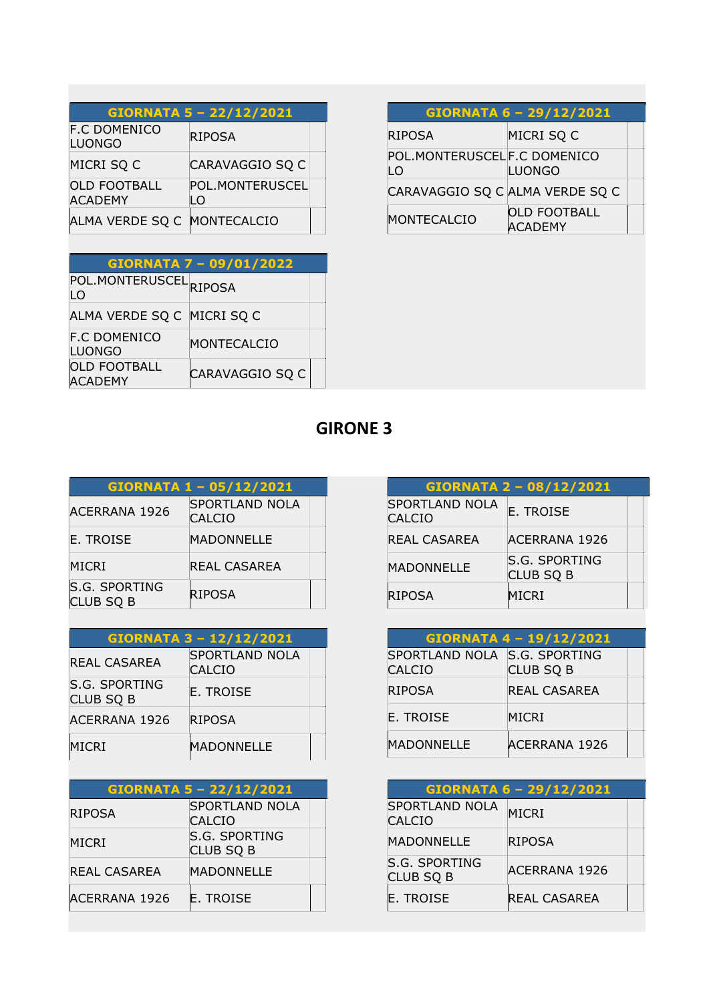| <b>GIORNATA 5 - 22/12/2021</b>        |                       |  |
|---------------------------------------|-----------------------|--|
| <b>F.C DOMENICO</b><br><b>LUONGO</b>  | <b>RIPOSA</b>         |  |
| MICRI SQ C                            | CARAVAGGIO SQ C       |  |
| <b>OLD FOOTBALL</b><br><b>ACADEMY</b> | POL.MONTERUSCEL<br>LO |  |
| ALMA VERDE SQ C                       | MONTECALCIO           |  |

| <b>GIORNATA 7 - 09/01/2022</b>          |                 |  |
|-----------------------------------------|-----------------|--|
| POL.MONTERUSCEL <sub>RIPOSA</sub><br>LO |                 |  |
| ALMA VERDE SQ C MICRI SQ C              |                 |  |
| <b>F.C DOMENICO</b><br><b>LUONGO</b>    | MONTECALCIO     |  |
| <b>OLD FOOTBALL</b><br><b>ACADEMY</b>   | CARAVAGGIO SQ C |  |

| GIORNATA 6 - 29/12/2021 |  |
|-------------------------|--|
|-------------------------|--|

| <b>RIPOSA</b>                      | MICRI SQ C                            |  |
|------------------------------------|---------------------------------------|--|
| POL.MONTERUSCELF.C DOMENICO<br>I O | LUONGO                                |  |
| CARAVAGGIO SQ C ALMA VERDE SQ C    |                                       |  |
| MONTECALCIO                        | <b>OLD FOOTBALL</b><br><b>ACADEMY</b> |  |

| GIORNATA 1 - 05/12/2021                  |                                        |  |
|------------------------------------------|----------------------------------------|--|
| <b>ACERRANA 1926</b>                     | <b>SPORTLAND NOLA</b><br><b>CALCIO</b> |  |
| E. TROISE                                | MADONNELLE                             |  |
| MICRI                                    | <b>REAL CASAREA</b>                    |  |
| <b>S.G. SPORTING</b><br><b>CLUB SQ B</b> | <b>RIPOSA</b>                          |  |

| <b>GIORNATA 3 - 12/12/2021</b>           |                                        |  |
|------------------------------------------|----------------------------------------|--|
| <b>REAL CASAREA</b>                      | <b>SPORTLAND NOLA</b><br><b>CALCIO</b> |  |
| <b>S.G. SPORTING</b><br><b>CLUB SQ B</b> | E. TROISE                              |  |
| <b>ACERRANA 1926</b>                     | <b>RIPOSA</b>                          |  |
| MICRI                                    | <b>MADONNELLE</b>                      |  |

| <b>GIORNATA 5 - 22/12/2021</b> |                                          |  |
|--------------------------------|------------------------------------------|--|
| <b>RIPOSA</b>                  | <b>SPORTLAND NOLA</b><br><b>CALCIO</b>   |  |
| <b>MICRI</b>                   | <b>S.G. SPORTING</b><br><b>CLUB SQ B</b> |  |
| REAL CASAREA                   | MADONNELLE                               |  |
| <b>ACERRANA 1926</b>           | <b>E. TROISE</b>                         |  |

| GIORNATA 2 - 08/12/2021                |                                   |  |
|----------------------------------------|-----------------------------------|--|
| <b>SPORTLAND NOLA</b><br><b>CALCIO</b> | <b>E. TROISE</b>                  |  |
| REAL CASAREA                           | <b>ACERRANA 1926</b>              |  |
| <b>MADONNELLE</b>                      | S.G. SPORTING<br><b>CLUB SQ B</b> |  |
| <b>RIPOSA</b>                          | <b>MICRI</b>                      |  |

| GIORNATA 4 - 19/12/2021                       |                      |  |
|-----------------------------------------------|----------------------|--|
| SPORTLAND NOLA S.G. SPORTING<br><b>CALCIO</b> | <b>CLUB SQ B</b>     |  |
| <b>RIPOSA</b>                                 | REAL CASAREA         |  |
| <b>E. TROISE</b>                              | MICRI                |  |
| <b>MADONNELLE</b>                             | <b>ACERRANA 1926</b> |  |

| GIORNATA 6 - 29/12/2021                  |                      |  |
|------------------------------------------|----------------------|--|
| <b>SPORTLAND NOLA</b><br><b>CALCIO</b>   | <b>MICRI</b>         |  |
| MADONNELLE                               | <b>RIPOSA</b>        |  |
| <b>S.G. SPORTING</b><br><b>CLUB SQ B</b> | <b>ACERRANA 1926</b> |  |
| <b>E. TROISE</b>                         | <b>REAL CASAREA</b>  |  |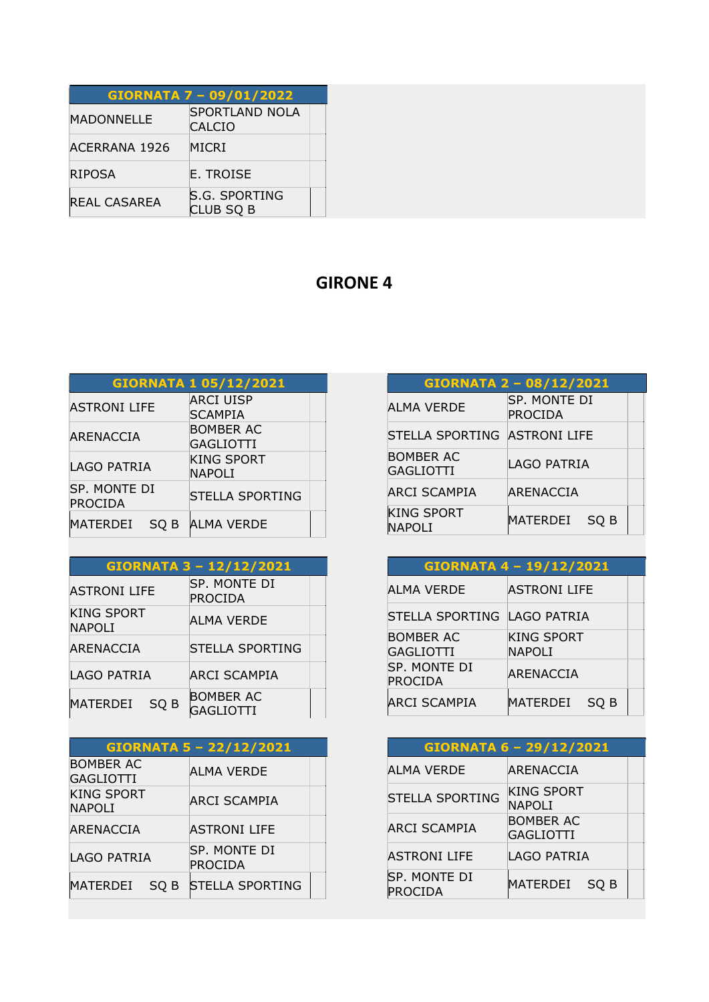|                     | GIORNATA 7 - 09/01/2022                |  |
|---------------------|----------------------------------------|--|
| <b>MADONNELLE</b>   | <b>SPORTLAND NOLA</b><br><b>CALCIO</b> |  |
| ACERRANA 1926       | MICRI                                  |  |
| <b>RIPOSA</b>       | E. TROISE                              |  |
| <b>REAL CASAREA</b> | S.G. SPORTING<br>CLUB SQ B             |  |

|                         | <b>GIORNATA 1 05/12/2021</b> |
|-------------------------|------------------------------|
| <b>ASTRONI LIFE</b>     | ARCI UISP                    |
|                         | <b>SCAMPIA</b>               |
| ARENACCIA               | <b>BOMBER AC</b>             |
|                         | GAGLIOTTI                    |
|                         | <b>KING SPORT</b>            |
| LAGO PATRIA             | <b>NAPOLI</b>                |
| SP. MONTE DI<br>PROCIDA | <b>STELLA SPORTING</b>       |
| MATERDEI<br>SO B        | <b>ALMA VERDE</b>            |

#### GIORNATA 3 – 12/12/2021

| <b>ASTRONI LIFE</b>                | SP. MONTE DI<br>PROCIDA              |
|------------------------------------|--------------------------------------|
| <b>KING SPORT</b><br><b>NAPOLI</b> | ALMA VERDE                           |
| ARENACCIA                          | <b>STELLA SPORTING</b>               |
| LAGO PATRIA                        | <b>ARCI SCAMPIA</b>                  |
| <b>MATERDEI</b><br>SO <sub>B</sub> | <b>BOMBER AC</b><br><b>GAGLIOTTI</b> |

| GIORNATA 5 - 22/12/2021              |                         |  |
|--------------------------------------|-------------------------|--|
| <b>BOMBER AC</b><br><b>GAGLIOTTI</b> | ALMA VERDE              |  |
| <b>KING SPORT</b>                    |                         |  |
| <b>NAPOLI</b>                        | ARCI SCAMPIA            |  |
| ARENACCIA                            | <b>ASTRONI LIFE</b>     |  |
| LAGO PATRIA                          | SP. MONTE DI<br>PROCIDA |  |
| MATERDEI<br>SO B                     | <b>STELLA SPORTING</b>  |  |

| GIORNATA 2 - 08/12/2021              |                         |  |
|--------------------------------------|-------------------------|--|
| ALMA VERDE                           | SP. MONTE DI<br>PROCIDA |  |
| STELLA SPORTING ASTRONI LIFE         |                         |  |
| <b>BOMBER AC</b><br><b>GAGLIOTTI</b> | LAGO PATRIA             |  |
| <b>ARCI SCAMPIA</b>                  | <b>ARENACCIA</b>        |  |
| <b>KING SPORT</b><br><b>NAPOLI</b>   | MATERDEI<br>SO B        |  |

|                               | GIORNATA 4 - 19/12/2021            |
|-------------------------------|------------------------------------|
| <b>ALMA VERDE</b>             | ASTRONI LIFE                       |
| STELLA SPORTING LAGO PATRIA   |                                    |
| <b>BOMBER AC</b><br>GAGLIOTTI | <b>KING SPORT</b><br><b>NAPOLI</b> |
| SP. MONTE DI<br>PROCIDA       | ARENACCIA                          |
| ARCI SCAMPIA                  | MATERDEI<br>SO B                   |

| <b>GIORNATA 6 - 29/12/2021</b> |                                      |  |
|--------------------------------|--------------------------------------|--|
| ALMA VERDE                     | ARENACCIA                            |  |
| <b>STELLA SPORTING</b>         | <b>KING SPORT</b><br><b>NAPOLI</b>   |  |
| <b>ARCI SCAMPIA</b>            | <b>BOMBER AC</b><br><b>GAGLIOTTI</b> |  |
| <b>ASTRONI LIFE</b>            | LAGO PATRIA                          |  |
| SP. MONTE DI<br>PROCIDA        | MATERDEI<br>SO B                     |  |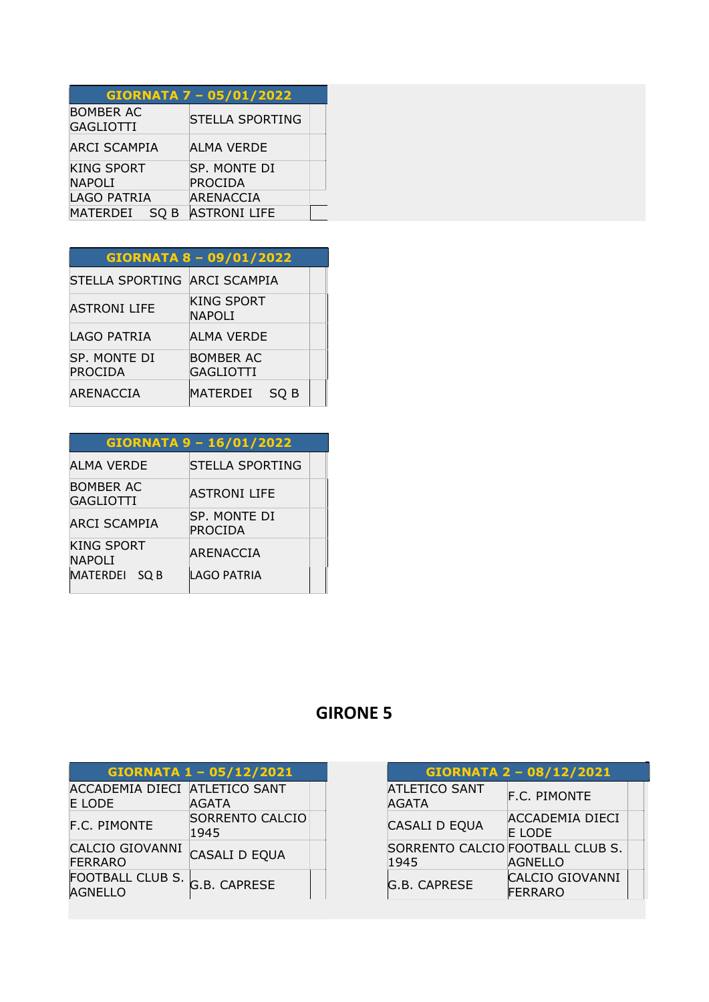|                                      |      | <b>GIORNATA 7 - 05/01/2022</b> |  |
|--------------------------------------|------|--------------------------------|--|
| <b>BOMBER AC</b><br><b>GAGLIOTTI</b> |      | <b>STELLA SPORTING</b>         |  |
| <b>ARCI SCAMPIA</b>                  |      | ALMA VERDE                     |  |
| <b>KING SPORT</b><br><b>NAPOLI</b>   |      | SP. MONTE DI<br>PROCIDA        |  |
| <b>LAGO PATRIA</b>                   |      | ARENACCIA                      |  |
| <b>MATERDEI</b>                      | SQ B | <b>ASTRONI LIFE</b>            |  |

|                              | <b>GIORNATA 8 - 09/01/2022</b>     |  |
|------------------------------|------------------------------------|--|
| STELLA SPORTING ARCI SCAMPIA |                                    |  |
| <b>ASTRONI LIFE</b>          | <b>KING SPORT</b><br><b>NAPOLI</b> |  |
| <b>LAGO PATRIA</b>           | ALMA VERDE                         |  |
| SP. MONTE DI<br>PROCIDA      | <b>BOMBER AC</b><br>GAGLIOTTI      |  |
| ARENACCIA                    | MATERDEI<br>SO B                   |  |

| <b>GIORNATA 9 - 16/01/2022</b>       |                         |  |
|--------------------------------------|-------------------------|--|
| <b>ALMA VERDE</b>                    | STELLA SPORTING         |  |
| <b>BOMBER AC</b><br><b>GAGLIOTTI</b> | <b>ASTRONI LIFE</b>     |  |
| ARCI SCAMPIA                         | SP. MONTE DI<br>PROCIDA |  |
| <b>KING SPORT</b><br><b>NAPOLI</b>   | ARENACCIA               |  |
| MATERDEI SQ B                        | LAGO PATRIA             |  |

|                                          | GIORNATA 1 - 05/12/2021        |  |
|------------------------------------------|--------------------------------|--|
| ACCADEMIA DIECI ATLETICO SANT            |                                |  |
| <b>E LODE</b>                            | AGATA                          |  |
| <b>F.C. PIMONTE</b>                      | <b>SORRENTO CALCIO</b><br>1945 |  |
| <b>CALCIO GIOVANNI</b><br><b>FERRARO</b> | CASALI D EQUA                  |  |
| FOOTBALL CLUB S.<br>AGNELLO              | G.B. CAPRESE                   |  |

| GIORNATA 2 - 08/12/2021                  |                                          |  |
|------------------------------------------|------------------------------------------|--|
| <b>ATLETICO SANT</b><br><b>AGATA</b>     | <b>F.C. PIMONTE</b>                      |  |
| CASALI D EQUA                            | <b>ACCADEMIA DIECI</b><br>E LODE         |  |
| SORRENTO CALCIO FOOTBALL CLUB S.<br>1945 | AGNELLO                                  |  |
| G.B. CAPRESE                             | <b>CALCIO GIOVANNI</b><br><b>FERRARO</b> |  |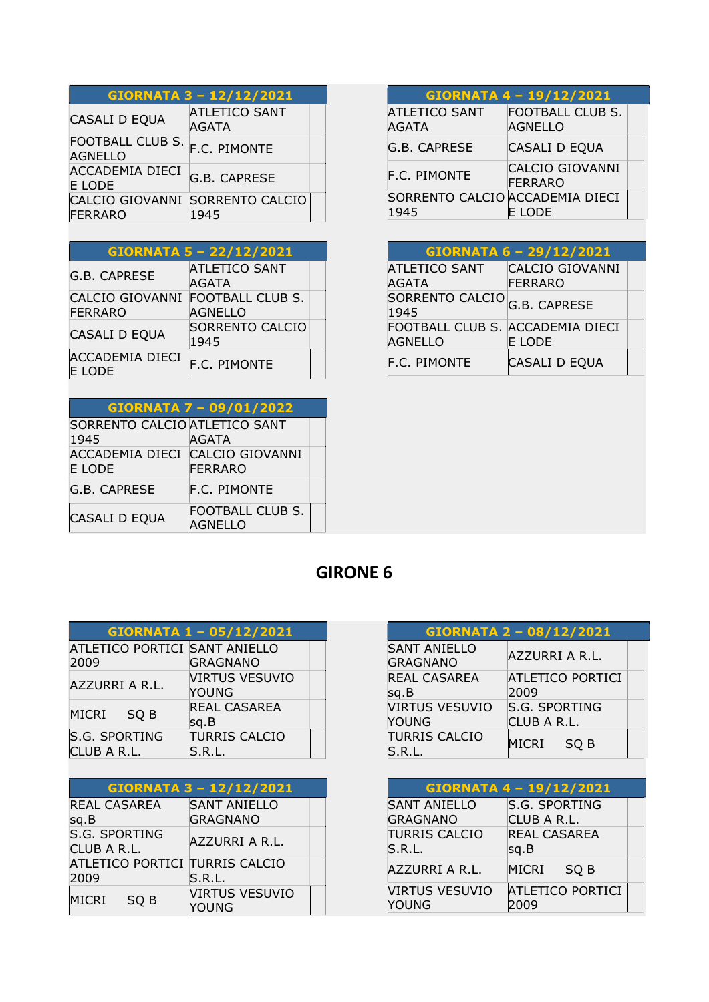| GIORNATA 3 - 12/12/2021                           |                                      |  |
|---------------------------------------------------|--------------------------------------|--|
| CASALI D EQUA                                     | <b>ATLETICO SANT</b><br><b>AGATA</b> |  |
| FOOTBALL CLUB S.<br><b>AGNELLO</b>                | F.C. PIMONTE                         |  |
| <b>ACCADEMIA DIECI</b><br>E LODE                  | <b>G.B. CAPRESE</b>                  |  |
| CALCIO GIOVANNI SORRENTO CALCIO<br><b>FERRARO</b> | 1945                                 |  |

| <b>GIORNATA 5 - 22/12/2021</b>          |                                           |  |
|-----------------------------------------|-------------------------------------------|--|
| G.B. CAPRESE                            | <b>ATLETICO SANT</b><br><b>AGATA</b>      |  |
| CALCIO GIOVANNI<br>FERRARO              | <b>FOOTBALL CLUB S.</b><br><b>AGNELLO</b> |  |
| CASALI D EQUA                           | <b>SORRENTO CALCIO</b><br>1945            |  |
| <b>ACCADEMIA DIECI</b><br><b>E LODE</b> | <b>F.C. PIMONTE</b>                       |  |

|                                           | <b>GIORNATA 7 - 09/01/2022</b>            |
|-------------------------------------------|-------------------------------------------|
| SORRENTO CALCIO ATLETICO SANT             |                                           |
| 1945                                      | AGATA                                     |
| ACCADEMIA DIECI CALCIO GIOVANNI<br>E LODE | FERRARO                                   |
| G.B. CAPRESE                              | <b>F.C. PIMONTE</b>                       |
| <b>CASALI D EQUA</b>                      | <b>FOOTBALL CLUB S.</b><br><b>AGNELLO</b> |

|                                        | GIORNATA 4 - 19/12/2021            |  |
|----------------------------------------|------------------------------------|--|
| <b>ATLETICO SANT</b><br><b>AGATA</b>   | <b>FOOTBALL CLUB S.</b><br>AGNELLO |  |
| G.B. CAPRESE                           | CASALI D EQUA                      |  |
| F.C. PIMONTE                           | CALCIO GIOVANNI<br>FERRARO         |  |
| SORRENTO CALCIO ACCADEMIA DIECI<br>945 | E LODE                             |  |

| GIORNATA 6 - 29/12/2021                            |                            |  |
|----------------------------------------------------|----------------------------|--|
| <b>ATLETICO SANT</b><br><b>AGATA</b>               | CALCIO GIOVANNI<br>FERRARO |  |
| SORRENTO CALCIO<br>1945                            | <b>G.B. CAPRESE</b>        |  |
| FOOTBALL CLUB S. ACCADEMIA DIECI<br><b>AGNELLO</b> | E LODE                     |  |
| <b>F.C. PIMONTE</b>                                | CASALI D EQUA              |  |

|                                       | GIORNATA 1 - 05/12/2021        |
|---------------------------------------|--------------------------------|
| ATLETICO PORTICI SANT ANIELLO<br>2009 | <b>GRAGNANO</b>                |
| AZZURRI A R.L.                        | <b>VIRTUS VESUVIO</b><br>YOUNG |
| MICRI<br>SO <sub>B</sub>              | REAL CASAREA<br>sq.B           |
| <b>S.G. SPORTING</b><br>CLUB A R.L.   | <b>TURRIS CALCIO</b><br>S.R.L. |
|                                       |                                |

| GIORNATA 3 - 12/12/2021                       |                                        |  |
|-----------------------------------------------|----------------------------------------|--|
| <b>REAL CASAREA</b><br>sq.B                   | <b>SANT ANIELLO</b><br><b>GRAGNANO</b> |  |
| <b>S.G. SPORTING</b>                          | AZZURRI A R.L.                         |  |
| CLUB A R.L.<br>ATLETICO PORTICI TURRIS CALCIO |                                        |  |
| 2009                                          | S.R.L.                                 |  |
| <b>MICRI</b><br>SQ <sub>B</sub>               | <b>VIRTUS VESUVIO</b><br>YOUNG         |  |

| GIORNATA 2 - 08/12/2021                |                              |  |
|----------------------------------------|------------------------------|--|
| <b>SANT ANIELLO</b><br><b>GRAGNANO</b> | <b>AZZURRI A R.L.</b>        |  |
| <b>REAL CASAREA</b><br>sq.B            | ATLETICO PORTICI<br>2009     |  |
| <b>VIRTUS VESUVIO</b><br>YOUNG         | S.G. SPORTING<br>CLUB A R.L. |  |
| <b>TURRIS CALCIO</b>                   | <b>MICRI</b><br>SO B         |  |

| <b>GIORNATA 4-19/12/2021</b> |                         |  |
|------------------------------|-------------------------|--|
| <b>SANT ANIELLO</b>          | S.G. SPORTING           |  |
| <b>GRAGNANO</b>              | CLUB A R.L.             |  |
| <b>TURRIS CALCIO</b>         | <b>REAL CASAREA</b>     |  |
| S.R.L.                       | sg.B                    |  |
| AZZURRI A R.L.               | <b>MICRI</b><br>SQ B    |  |
| <b>VIRTUS VESUVIO</b>        | <b>ATLETICO PORTICI</b> |  |
| YOUNG                        | 2009                    |  |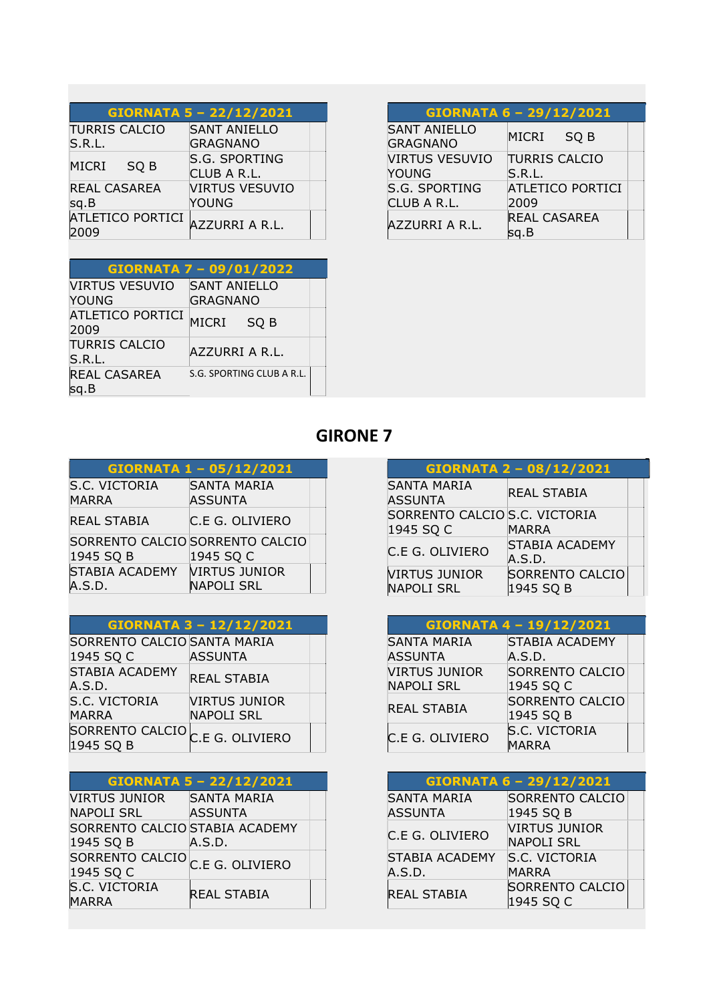| <b>GIORNATA 5 - 22/12/2021</b> |                       |  |
|--------------------------------|-----------------------|--|
| <b>TURRIS CALCIO</b>           | <b>SANT ANIELLO</b>   |  |
| S.R.L.                         | <b>GRAGNANO</b>       |  |
| <b>MICRI</b>                   | S.G. SPORTING         |  |
| SO <sub>B</sub>                | CLUB A R.L.           |  |
| <b>REAL CASAREA</b>            | <b>VIRTUS VESUVIO</b> |  |
| sq.B                           | YOUNG                 |  |
| <b>ATLETICO PORTICI</b>        | AZZURRI A R.L.        |  |

GIORNATA 7 – 09/01/2022

ATLETICO PORTICI<br>2009

SANT ANIELLO GRAGNANO

AZZURRI A R.L.

S.G. SPORTING CLUB A R.L.

VIRTUS VESUVIO

TURRIS CALCIO

REAL CASAREA

YOUNG

sq.B

| <b>SANT ANIELLO</b><br><b>GRAGNANO</b> | MICRI<br>SQ B           |
|----------------------------------------|-------------------------|
| <b>VIRTUS VESUVIO</b>                  | <b>TURRIS CALCIO</b>    |
| <b>YOUNG</b>                           | S.R.L.                  |
| S.G. SPORTING                          | <b>ATLETICO PORTICI</b> |
| CLUB A R.L.                            | 2009                    |
| AZZURRI A R.L.                         | <b>REAL CASAREA</b>     |
|                                        | sg.B                    |

GIORNATA 6 – 29/12/2021

| <b>GIRONE 7</b> |  |
|-----------------|--|

| GIORNATA 1 - 05/12/2021                      |                                           |  |
|----------------------------------------------|-------------------------------------------|--|
| S.C. VICTORIA<br><b>MARRA</b>                | <b>SANTA MARIA</b><br><b>ASSUNTA</b>      |  |
| <b>REAL STABIA</b>                           | C.E G. OLIVIERO                           |  |
| SORRENTO CALCIO SORRENTO CALCIO<br>1945 SQ B | 1945 SQ C                                 |  |
| <b>STABIA ACADEMY</b><br>A.S.D.              | <b>VIRTUS JUNIOR</b><br><b>NAPOLI SRL</b> |  |

| GIORNATA 3 - 12/12/2021                                 |                      |  |
|---------------------------------------------------------|----------------------|--|
| SORRENTO CALCIO SANTA MARIA                             |                      |  |
| 1945 SQ C                                               | <b>ASSUNTA</b>       |  |
| <b>STABIA ACADEMY</b>                                   | <b>REAL STABIA</b>   |  |
| A.S.D.                                                  |                      |  |
| S.C. VICTORIA                                           | <b>VIRTUS JUNIOR</b> |  |
| <b>MARRA</b>                                            | <b>NAPOLI SRL</b>    |  |
| SORRENTO CALCIO <sub>C.E G. OLIVIERO</sub><br>1945 SQ B |                      |  |

|                                            | GIORNATA 5 - 22/12/2021 |  |
|--------------------------------------------|-------------------------|--|
| <b>VIRTUS JUNIOR</b>                       | <b>SANTA MARIA</b>      |  |
| <b>NAPOLI SRL</b>                          | <b>ASSUNTA</b>          |  |
| SORRENTO CALCIO STABIA ACADEMY             |                         |  |
| 1945 SQ B                                  | A.S.D.                  |  |
| SORRENTO CALCIO <sub>C.E G.</sub> OLIVIERO |                         |  |
| 1945 SQ C                                  |                         |  |
| S.C. VICTORIA                              | <b>REAL STABIA</b>      |  |
| <b>MARRA</b>                               |                         |  |

|                                            | GIORNATA 2 - 08/12/2021      |  |
|--------------------------------------------|------------------------------|--|
| <b>SANTA MARIA</b><br><b>ASSUNTA</b>       | <b>REAL STABIA</b>           |  |
| SORRENTO CALCIO S.C. VICTORIA<br>1945 SQ C | <b>MARRA</b>                 |  |
| C.E G. OLIVIERO                            | STABIA ACADEMY<br>A.S.D.     |  |
| <b>VIRTUS JUNIOR</b><br><b>NAPOLI SRL</b>  | SORRENTO CALCIO<br>1945 SQ B |  |

|                      | GIORNATA 4 - 19/12/2021 |
|----------------------|-------------------------|
| <b>SANTA MARIA</b>   | STABIA ACADEMY          |
| <b>ASSUNTA</b>       | A.S.D.                  |
| <b>VIRTUS JUNIOR</b> | <b>SORRENTO CALCIO</b>  |
| <b>NAPOLI SRL</b>    | 1945 SQ C               |
|                      | SORRENTO CALCIO         |
| <b>REAL STABIA</b>   | 1945 SQ B               |
| C.E G. OLIVIERO      | S.C. VICTORIA           |
|                      | <b>MARRA</b>            |

|                               | GIORNATA 6 - 29/12/2021                   |
|-------------------------------|-------------------------------------------|
| SANTA MARIA<br><b>ASSUNTA</b> | SORRENTO CALCIO<br>1945 SQ B              |
| C.E G. OLIVIERO               | <b>VIRTUS JUNIOR</b><br><b>NAPOLI SRL</b> |
| STABIA ACADEMY<br>A.S.D.      | S.C. VICTORIA<br><b>MARRA</b>             |
| <b>REAL STABIA</b>            | <b>SORRENTO CALCIO</b><br>1945 SQ C       |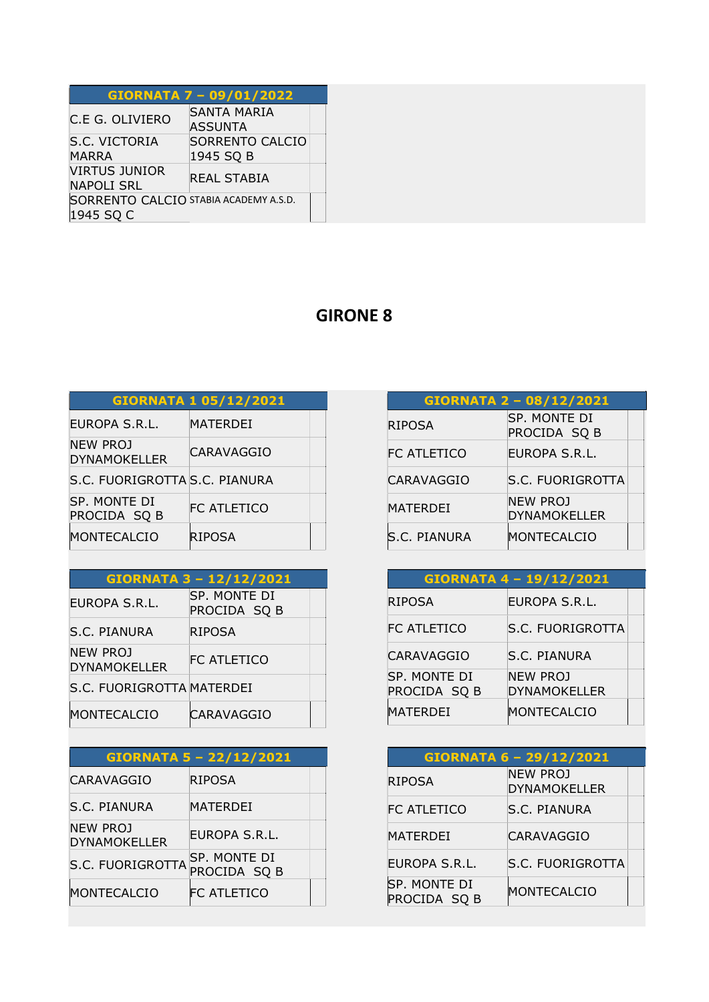|                                                    | <b>GIORNATA 7 - 09/01/2022</b>       |  |
|----------------------------------------------------|--------------------------------------|--|
| C.E G. OLIVIERO                                    | <b>SANTA MARIA</b><br><b>ASSUNTA</b> |  |
| S.C. VICTORIA<br><b>MARRA</b>                      | SORRENTO CALCIO<br>1945 SQ B         |  |
| <b>VIRTUS JUNIOR</b><br>NAPOLI SRL                 | <b>REAL STABIA</b>                   |  |
| SORRENTO CALCIO STABIA ACADEMY A.S.D.<br>1945 SQ C |                                      |  |

|                                        | <b>GIORNATA 1 05/12/2021</b> |  |
|----------------------------------------|------------------------------|--|
| EUROPA S.R.L.                          | MATERDEI                     |  |
| <b>NEW PROJ</b><br><b>DYNAMOKELLER</b> | CARAVAGGIO                   |  |
| S.C. FUORIGROTTA S.C. PIANURA          |                              |  |
| SP. MONTE DI<br>PROCIDA SQ B           | FC ATLETICO                  |  |
| MONTECALCIO                            | <b>RIPOSA</b>                |  |

|                                 | GIORNATA 3 - 12/12/2021      |  |
|---------------------------------|------------------------------|--|
| EUROPA S.R.L.                   | SP. MONTE DI<br>PROCIDA SQ B |  |
| S.C. PIANURA                    | <b>RIPOSA</b>                |  |
| NEW PROJ<br><b>DYNAMOKELLER</b> | FC ATLETICO                  |  |
| S.C. FUORIGROTTA MATERDEI       |                              |  |
| MONTECALCIO                     | <b>CARAVAGGIO</b>            |  |

|                                 | <b>GIORNATA 5 - 22/12/2021</b> |  |
|---------------------------------|--------------------------------|--|
| CARAVAGGIO                      | RIPOSA                         |  |
| S.C. PIANURA                    | <b>MATERDEI</b>                |  |
| NEW PROJ<br><b>DYNAMOKELLER</b> | EUROPA S.R.L.                  |  |
| <b>S.C. FUORIGROTTA</b>         | SP. MONTE DI<br>PROCIDA SQ B   |  |
| MONTECALCIO                     | <b>FC ATLETICO</b>             |  |

|                    | GIORNATA 2 - 08/12/2021                |
|--------------------|----------------------------------------|
| <b>RIPOSA</b>      | SP. MONTE DI<br>PROCIDA SQ B           |
| <b>FC ATLETICO</b> | EUROPA S.R.L.                          |
| <b>CARAVAGGIO</b>  | S.C. FUORIGROTTA                       |
| <b>MATERDEI</b>    | <b>NEW PROJ</b><br><b>DYNAMOKELLER</b> |
| S.C. PIANURA       | MONTECALCIO                            |

|                              | GIORNATA 4 - 19/12/2021                |  |
|------------------------------|----------------------------------------|--|
| <b>RIPOSA</b>                | EUROPA S.R.L.                          |  |
| FC ATLETICO                  | <b>S.C. FUORIGROTTA</b>                |  |
| <b>CARAVAGGIO</b>            | <b>S.C. PIANURA</b>                    |  |
| SP. MONTE DI<br>PROCIDA SQ B | <b>NEW PROJ</b><br><b>DYNAMOKELLER</b> |  |
| MATERDEI                     | MONTECALCIO                            |  |

|                                     | <b>GIORNATA 6 - 29/12/2021</b>         |  |
|-------------------------------------|----------------------------------------|--|
| <b>RIPOSA</b>                       | <b>NEW PROJ</b><br><b>DYNAMOKELLER</b> |  |
| <b>FC ATLETICO</b>                  | S.C. PIANURA                           |  |
| <b>MATERDEI</b>                     | CARAVAGGIO                             |  |
| EUROPA S.R.L.                       | S.C. FUORIGROTTA                       |  |
| <b>SP. MONTE DI</b><br>PROCIDA SQ B | MONTECALCIO                            |  |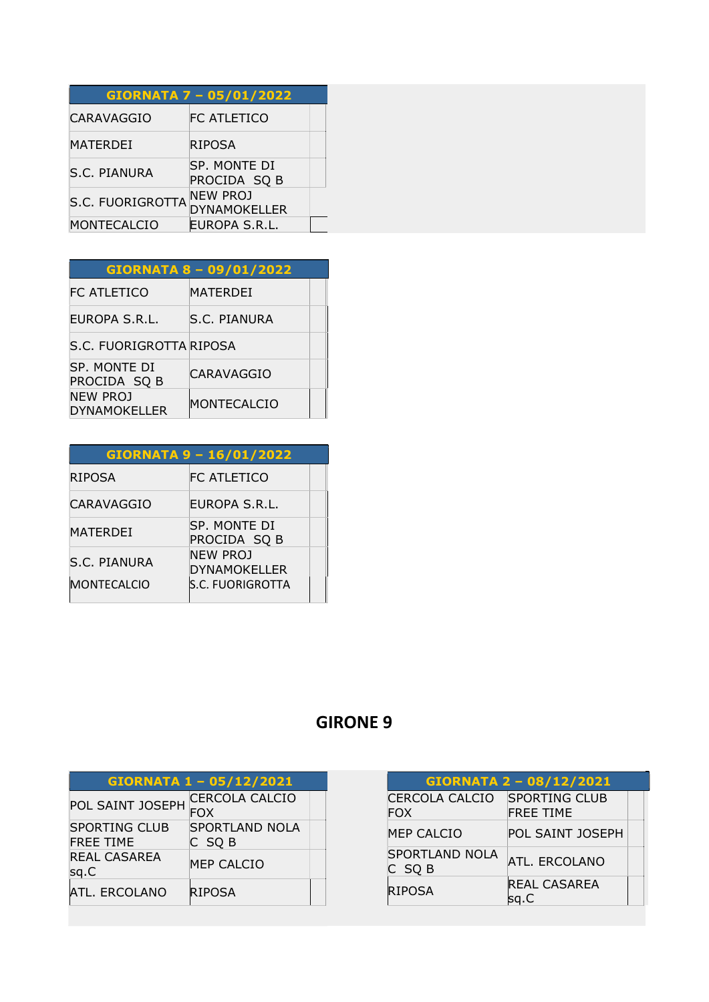|                  | GIORNATA 7 - 05/01/2022                |
|------------------|----------------------------------------|
| CARAVAGGIO       | FC ATLETICO                            |
| MATERDEI         | <b>RIPOSA</b>                          |
| S.C. PIANURA     | SP. MONTE DI<br>PROCIDA SQ B           |
| S.C. FUORIGROTTA | <b>NEW PROJ</b><br><b>DYNAMOKELLER</b> |
| MONTECALCIO      | EUROPA S.R.L.                          |

| <b>GIORNATA 8 - 09/01/2022</b>         |                 |  |
|----------------------------------------|-----------------|--|
| FC ATLETICO                            | <b>MATERDEI</b> |  |
| EUROPA S.R.L.                          | S.C. PIANURA    |  |
| S.C. FUORIGROTTA RIPOSA                |                 |  |
| SP. MONTE DI<br>PROCIDA SQ B           | CARAVAGGIO      |  |
| <b>NEW PROJ</b><br><b>DYNAMOKELLER</b> | MONTECALCIO     |  |

| GIORNATA 9 - 16/01/2022 |                                        |
|-------------------------|----------------------------------------|
| <b>RIPOSA</b>           | FC ATLETICO                            |
| CARAVAGGIO              | EUROPA S.R.L.                          |
| MATERDEI                | SP. MONTE DI<br>PROCIDA SQ B           |
| S.C. PIANURA            | <b>NEW PROJ</b><br><b>DYNAMOKELLER</b> |
| <b>MONTECALCIO</b>      | <b>S.C. FUORIGROTTA</b>                |

| GIORNATA 1 - 05/12/2021                  |                                     |  |
|------------------------------------------|-------------------------------------|--|
| POL SAINT JOSEPH                         | <b>CERCOLA CALCIO</b><br><b>FOX</b> |  |
| <b>SPORTING CLUB</b><br><b>FREE TIME</b> | <b>SPORTLAND NOLA</b><br>C SQ B     |  |
| <b>REAL CASAREA</b><br>sq.C              | MEP CALCIO                          |  |
| <b>ATL. ERCOLANO</b>                     | <b>RIPOSA</b>                       |  |

| GIORNATA 2 - 08/12/2021         |                                   |  |
|---------------------------------|-----------------------------------|--|
| CERCOLA CALCIO<br><b>FOX</b>    | SPORTING CLUB<br><b>FREE TIME</b> |  |
| <b>MEP CALCIO</b>               | <b>POL SAINT JOSEPH</b>           |  |
| <b>SPORTLAND NOLA</b><br>C SQ B | ATL, ERCOLANO                     |  |
| <b>RIPOSA</b>                   | <b>REAL CASAREA</b><br>sg.C       |  |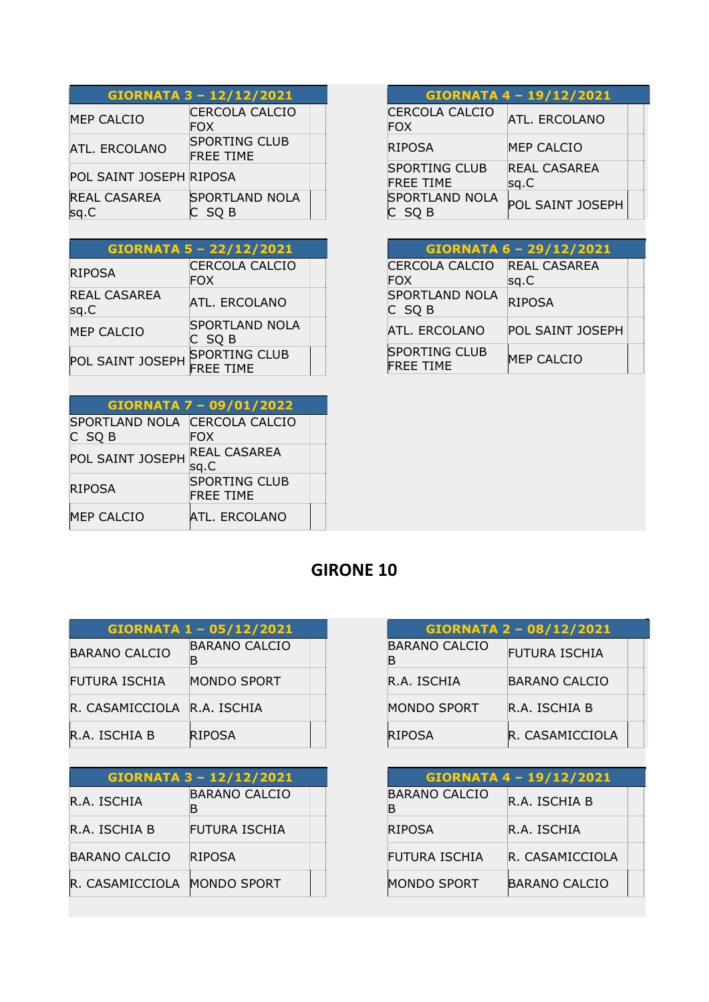| GIORNATA 3 - 12/12/2021     |                                          |
|-----------------------------|------------------------------------------|
| <b>MEP CALCIO</b>           | <b>CERCOLA CALCIO</b><br><b>FOX</b>      |
| ATL. ERCOLANO               | <b>SPORTING CLUB</b><br><b>FREE TIME</b> |
| POL SAINT JOSEPH RIPOSA     |                                          |
| <b>REAL CASAREA</b><br>sq.C | <b>SPORTLAND NOLA</b><br>C SQ B          |

| <b>GIORNATA 5 - 22/12/2021</b> |                                          |  |
|--------------------------------|------------------------------------------|--|
| <b>RIPOSA</b>                  | <b>CERCOLA CALCIO</b><br><b>FOX</b>      |  |
| <b>REAL CASAREA</b><br>sq.C    | <b>ATL. ERCOLANO</b>                     |  |
| <b>MEP CALCIO</b>              | <b>SPORTLAND NOLA</b><br>$C$ SQ B        |  |
| POL SAINT JOSEPH               | <b>SPORTING CLUB</b><br><b>FREE TIME</b> |  |

| GIORNATA 7 - 09/01/2022                 |                                          |  |
|-----------------------------------------|------------------------------------------|--|
| SPORTLAND NOLA CERCOLA CALCIO<br>C SQ B | <b>FOX</b>                               |  |
| POL SAINT JOSEPH                        | <b>REAL CASAREA</b><br>sq.C              |  |
| <b>RIPOSA</b>                           | <b>SPORTING CLUB</b><br><b>FREE TIME</b> |  |
| <b>MEP CALCIO</b>                       | <b>ATL. ERCOLANO</b>                     |  |

| GIORNATA 4 - 19/12/2021                  |                             |
|------------------------------------------|-----------------------------|
| CERCOLA CALCIO<br><b>FOX</b>             | <b>ATL. ERCOLANO</b>        |
| <b>RIPOSA</b>                            | <b>MEP CALCIO</b>           |
| <b>SPORTING CLUB</b><br><b>FREE TIME</b> | <b>REAL CASAREA</b><br>sq.C |
| <b>SPORTLAND NOLA</b><br>SO <sub>B</sub> | POL SAINT JOSEPH            |

|                                          | GIORNATA 6 - 29/12/2021     |  |
|------------------------------------------|-----------------------------|--|
| CERCOLA CALCIO<br><b>FOX</b>             | <b>REAL CASAREA</b><br>sq.C |  |
| <b>SPORTLAND NOLA</b><br>C SQ B          | <b>RIPOSA</b>               |  |
| ATL. ERCOLANO                            | <b>POL SAINT JOSEPH</b>     |  |
| <b>SPORTING CLUB</b><br><b>FREE TIME</b> | <b>MEP CALCIO</b>           |  |

| GIORNATA 1 - 05/12/2021     |                           |
|-----------------------------|---------------------------|
| <b>BARANO CALCIO</b>        | <b>BARANO CALCIO</b><br>в |
| <b>FUTURA ISCHIA</b>        | MONDO SPORT               |
| R. CASAMICCIOLA R.A. ISCHIA |                           |
| R.A. ISCHIA B               | RIPOSA                    |

Ξ

| GIORNATA 3 - 12/12/2021 |                    |  |
|-------------------------|--------------------|--|
| R.A. ISCHIA             | BARANO CALCIO<br>в |  |
| R.A. ISCHIA B           | FUTURA ISCHIA      |  |
| <b>BARANO CALCIO</b>    | <b>RIPOSA</b>      |  |
| R. CASAMICCIOLA         | <b>MONDO SPORT</b> |  |

| <b>GIORNATA 2 - 08/12/2021</b> |                 |
|--------------------------------|-----------------|
| BARANO CALCIO<br>в             | FUTURA ISCHIA   |
| R.A. ISCHIA                    | BARANO CALCIO   |
| MONDO SPORT                    | R.A. ISCHIA B   |
| <b>RIPOSA</b>                  | R. CASAMICCIOLA |

| GIORNATA 4 - 19/12/2021   |                      |  |
|---------------------------|----------------------|--|
| <b>BARANO CALCIO</b><br>В | R.A. ISCHIA B        |  |
| <b>RIPOSA</b>             | R.A. ISCHIA          |  |
| FUTURA ISCHIA             | R. CASAMICCIOLA      |  |
| <b>MONDO SPORT</b>        | <b>BARANO CALCIO</b> |  |